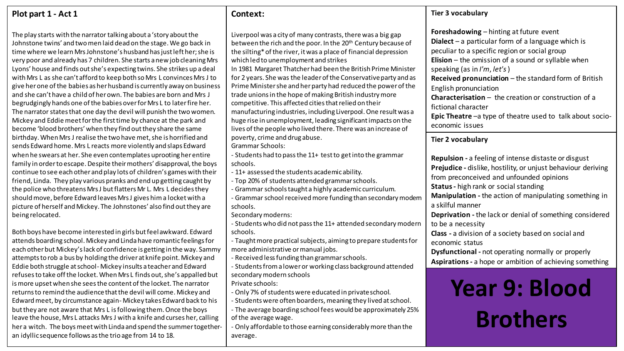| Plot part 1 - Act 1                                                                                                                                                                                                                                                                                                                                                                                                                                                                                                                                                                                                                                                                                                                                                                                                                                                                                                                                                                                                                                                                                                                                                                                                                                                                     | Context:                                                                                                                                                                                                                                                                                                                                                                                                                                                                                                                                                                                                                                                                                                                                                                                                                                                                                    | <b>Tier 3 vocabulary</b>                                                                                                                                                                                                                                                                                                                                                                                                                                                                                                                                                                                  |
|-----------------------------------------------------------------------------------------------------------------------------------------------------------------------------------------------------------------------------------------------------------------------------------------------------------------------------------------------------------------------------------------------------------------------------------------------------------------------------------------------------------------------------------------------------------------------------------------------------------------------------------------------------------------------------------------------------------------------------------------------------------------------------------------------------------------------------------------------------------------------------------------------------------------------------------------------------------------------------------------------------------------------------------------------------------------------------------------------------------------------------------------------------------------------------------------------------------------------------------------------------------------------------------------|---------------------------------------------------------------------------------------------------------------------------------------------------------------------------------------------------------------------------------------------------------------------------------------------------------------------------------------------------------------------------------------------------------------------------------------------------------------------------------------------------------------------------------------------------------------------------------------------------------------------------------------------------------------------------------------------------------------------------------------------------------------------------------------------------------------------------------------------------------------------------------------------|-----------------------------------------------------------------------------------------------------------------------------------------------------------------------------------------------------------------------------------------------------------------------------------------------------------------------------------------------------------------------------------------------------------------------------------------------------------------------------------------------------------------------------------------------------------------------------------------------------------|
| The play starts with the narrator talking about a 'story about the<br>Johnstone twins' and two men laid dead on the stage. We go back in<br>time where we learn Mrs Johnstone's husband has just left her; she is<br>very poor and already has 7 children. She starts a new job cleaning Mrs<br>Lyons' house and finds out she's expecting twins. She strikes up a deal<br>with Mrs L as she can't afford to keep both so Mrs L convinces Mrs J to<br>give her one of the babies as her husband is currently away on business<br>and she can't have a child of her own. The babies are born and Mrs J<br>begrudgingly hands one of the babies over for Mrs L to later fire her.<br>The narrator states that one day the devil will punish the two women.<br>Mickey and Eddie meet for the first time by chance at the park and<br>become 'blood brothers' when they find out they share the same                                                                                                                                                                                                                                                                                                                                                                                        | Liverpool was a city of many contrasts, there was a big gap<br>between the rich and the poor. In the 20 <sup>th</sup> Century because of<br>the silting* of the river, it was a place of financial depression<br>which led to unemployment and strikes<br>In 1981 Margaret Thatcher had been the British Prime Minister<br>for 2 years. She was the leader of the Conservative party and as<br>Prime Minister she and her party had reduced the power of the<br>trade unions in the hope of making British industry more<br>competitive. This affected cities that relied on their<br>manufacturing industries, including Liverpool. One result was a<br>huge rise in unemployment, leading significant impacts on the<br>lives of the people who lived there. There was an increase of                                                                                                     | <b>Foreshadowing</b> – hinting at future event<br><b>Dialect</b> $-$ a particular form of a language which is<br>peculiar to a specific region or social group<br><b>Elision</b> $-$ the omission of a sound or syllable when<br>speaking (as in I'm, let's)<br>Received pronunciation - the standard form of British<br>English pronunciation<br><b>Characterisation</b> $-$ the creation or construction of a<br>fictional character<br>Epic Theatre -a type of theatre used to talk about socio-<br>economic issues                                                                                    |
| birthday. When Mrs J realise the two have met, she is horrified and<br>sends Edward home. Mrs L reacts more violently and slaps Edward                                                                                                                                                                                                                                                                                                                                                                                                                                                                                                                                                                                                                                                                                                                                                                                                                                                                                                                                                                                                                                                                                                                                                  | poverty, crime and drug abuse.<br><b>Grammar Schools:</b>                                                                                                                                                                                                                                                                                                                                                                                                                                                                                                                                                                                                                                                                                                                                                                                                                                   | <b>Tier 2 vocabulary</b>                                                                                                                                                                                                                                                                                                                                                                                                                                                                                                                                                                                  |
| when he swears at her. She even contemplates uprooting her entire<br>family in order to escape. Despite their mothers' disapproval, the boys<br>continue to see each other and play lots of children's games with their<br>friend, Linda. They play various pranks and end up getting caught by<br>the police who threatens Mrs J but flatters Mr L. Mrs L decides they<br>should move, before Edward leaves Mrs J gives him a locket with a<br>picture of herself and Mickey. The Johnstones' also find out they are<br>being relocated.<br>Both boys have become interested in girls but feel awkward. Edward<br>attends boarding school. Mickey and Linda have romantic feelings for<br>each other but Mickey's lack of confidence is getting in the way. Sammy<br>attempts to rob a bus by holding the driver at knife point. Mickey and<br>Eddie both struggle at school-Mickey insults a teacher and Edward<br>refuses to take off the locket. When Mrs L finds out, she's appalled but<br>is more upset when she sees the content of the locket. The narrator<br>returns to remind the audience that the devil will come. Mickey and<br>Edward meet, by circumstance again-Mickey takes Edward back to his<br>but they are not aware that Mrs L is following them. Once the boys | - Students had to pass the 11+ test to get into the grammar<br>schools.<br>- 11+ assessed the students academic ability.<br>- Top 20% of students attended grammar schools.<br>- Grammar schools taught a highly academic curriculum.<br>- Grammar school received more funding than secondary modem<br>schools.<br>Secondary moderns:<br>- Students who did not pass the 11+ attended secondary modern<br>schools.<br>- Taught more practical subjects, aiming to prepare students for<br>more administrative or manual jobs.<br>- Received less funding than grammar schools.<br>- Students from a lower or working class background attended<br>secondary modern schools<br>Private schools:<br>- Only 7% of students were educated in private school.<br>- Students were often boarders, meaning they lived at school.<br>- The average boarding school fees would be approximately 25% | <b>Repulsion</b> - a feeling of intense distaste or disgust<br>Prejudice - dislike, hostility, or unjust behaviour deriving<br>from preconceived and unfounded opinions<br><b>Status</b> - high rank or social standing<br>Manipulation - the action of manipulating something in<br>a skilful manner<br>Deprivation - the lack or denial of something considered<br>to be a necessity<br>Class - a division of a society based on social and<br>economic status<br>Dysfunctional - not operating normally or properly<br>Aspirations - a hope or ambition of achieving something<br><b>Year 9: Blood</b> |
| leave the house, Mrs L attacks Mrs J with a knife and curses her, calling<br>her a witch. The boys meet with Linda and spend the summer together-<br>an idyllic sequence follows as the trio age from 14 to 18.                                                                                                                                                                                                                                                                                                                                                                                                                                                                                                                                                                                                                                                                                                                                                                                                                                                                                                                                                                                                                                                                         | of the average wage.<br>- Only affordable to those earning considerably more than the<br>average.                                                                                                                                                                                                                                                                                                                                                                                                                                                                                                                                                                                                                                                                                                                                                                                           | <b>Brothers</b>                                                                                                                                                                                                                                                                                                                                                                                                                                                                                                                                                                                           |